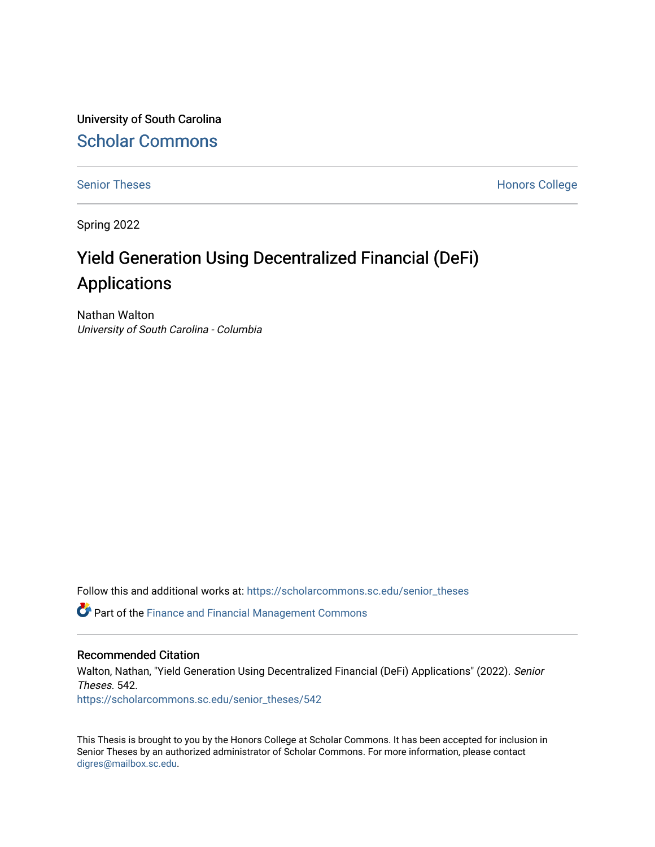University of South Carolina [Scholar Commons](https://scholarcommons.sc.edu/) 

[Senior Theses](https://scholarcommons.sc.edu/senior_theses) **Honors College** Honors College

Spring 2022

# Yield Generation Using Decentralized Financial (DeFi) Applications

Nathan Walton University of South Carolina - Columbia

Follow this and additional works at: [https://scholarcommons.sc.edu/senior\\_theses](https://scholarcommons.sc.edu/senior_theses?utm_source=scholarcommons.sc.edu%2Fsenior_theses%2F542&utm_medium=PDF&utm_campaign=PDFCoverPages) 

**C** Part of the Finance and Financial Management Commons

#### Recommended Citation

Walton, Nathan, "Yield Generation Using Decentralized Financial (DeFi) Applications" (2022). Senior Theses. 542.

[https://scholarcommons.sc.edu/senior\\_theses/542](https://scholarcommons.sc.edu/senior_theses/542?utm_source=scholarcommons.sc.edu%2Fsenior_theses%2F542&utm_medium=PDF&utm_campaign=PDFCoverPages) 

This Thesis is brought to you by the Honors College at Scholar Commons. It has been accepted for inclusion in Senior Theses by an authorized administrator of Scholar Commons. For more information, please contact [digres@mailbox.sc.edu](mailto:digres@mailbox.sc.edu).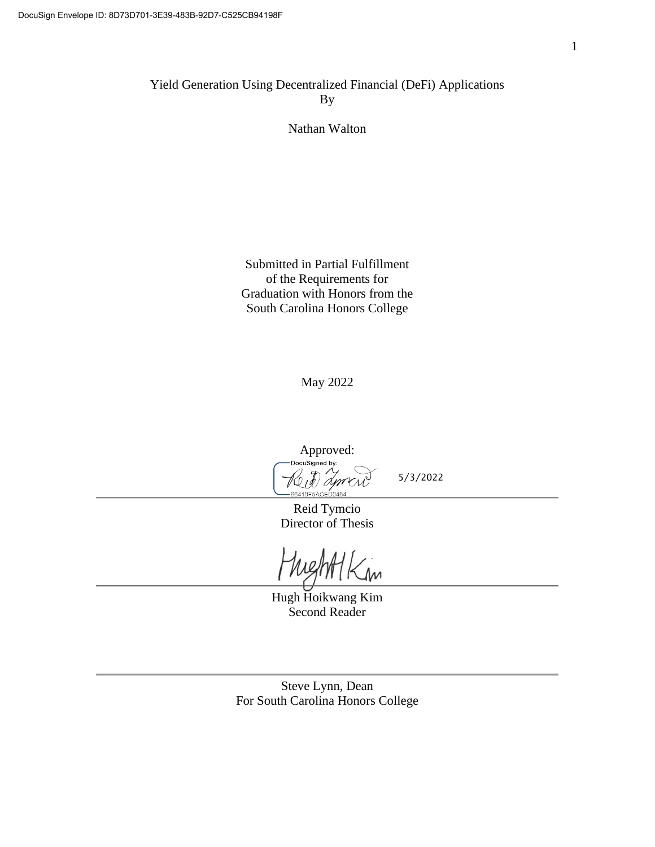Yield Generation Using Decentralized Financial (DeFi) Applications By

Nathan Walton

Submitted in Partial Fulfillment of the Requirements for Graduation with Honors from the South Carolina Honors College

May 2022

Approved:<br>Docusigned by: A 66410F5ACED0464

5/3/2022

Reid Tymcio Director of Thesis

 $\mathcal{M}$ 

Hugh Hoikwang Kim Second Reader

Steve Lynn, Dean For South Carolina Honors College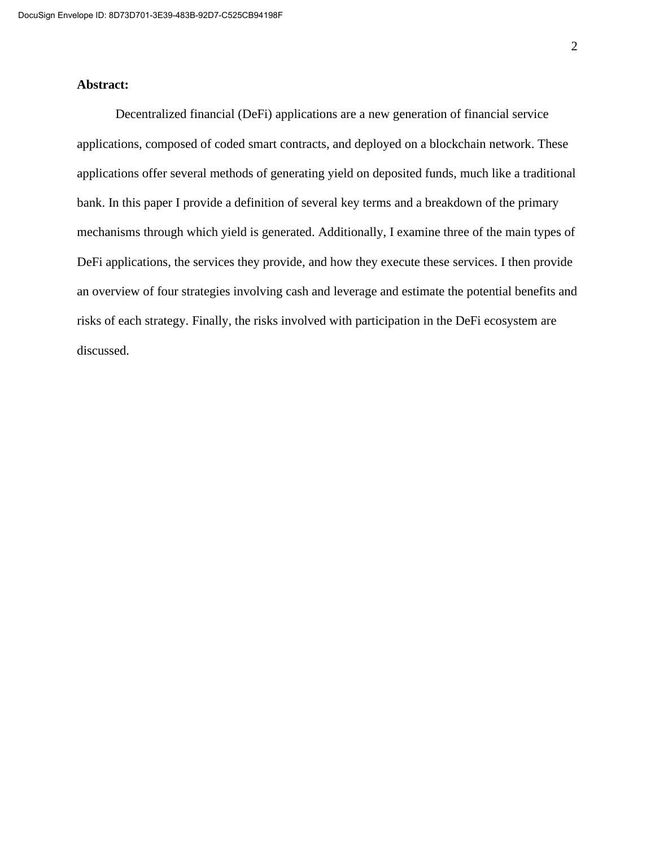#### **Abstract:**

Decentralized financial (DeFi) applications are a new generation of financial service applications, composed of coded smart contracts, and deployed on a blockchain network. These applications offer several methods of generating yield on deposited funds, much like a traditional bank. In this paper I provide a definition of several key terms and a breakdown of the primary mechanisms through which yield is generated. Additionally, I examine three of the main types of DeFi applications, the services they provide, and how they execute these services. I then provide an overview of four strategies involving cash and leverage and estimate the potential benefits and risks of each strategy. Finally, the risks involved with participation in the DeFi ecosystem are discussed.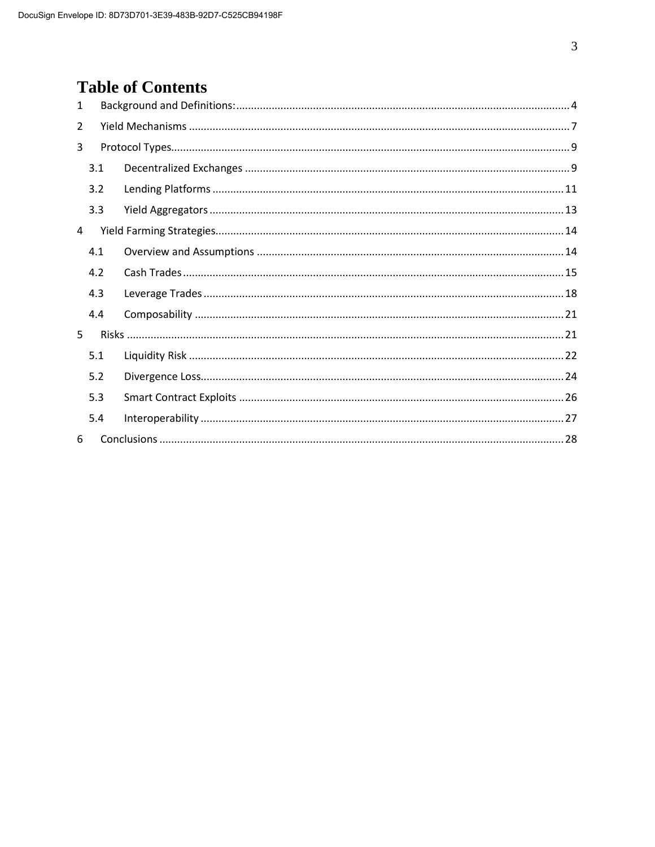## **Table of Contents**

| $\mathbf{1}$   |     |  |  |  |  |  |  |  |  |  |  |  |
|----------------|-----|--|--|--|--|--|--|--|--|--|--|--|
| $\overline{2}$ |     |  |  |  |  |  |  |  |  |  |  |  |
| 3              |     |  |  |  |  |  |  |  |  |  |  |  |
|                | 3.1 |  |  |  |  |  |  |  |  |  |  |  |
|                | 3.2 |  |  |  |  |  |  |  |  |  |  |  |
|                | 3.3 |  |  |  |  |  |  |  |  |  |  |  |
| 4              |     |  |  |  |  |  |  |  |  |  |  |  |
|                | 4.1 |  |  |  |  |  |  |  |  |  |  |  |
|                | 4.2 |  |  |  |  |  |  |  |  |  |  |  |
|                | 4.3 |  |  |  |  |  |  |  |  |  |  |  |
|                | 4.4 |  |  |  |  |  |  |  |  |  |  |  |
| 5              |     |  |  |  |  |  |  |  |  |  |  |  |
|                | 5.1 |  |  |  |  |  |  |  |  |  |  |  |
|                | 5.2 |  |  |  |  |  |  |  |  |  |  |  |
|                | 5.3 |  |  |  |  |  |  |  |  |  |  |  |
|                | 5.4 |  |  |  |  |  |  |  |  |  |  |  |
| 6              |     |  |  |  |  |  |  |  |  |  |  |  |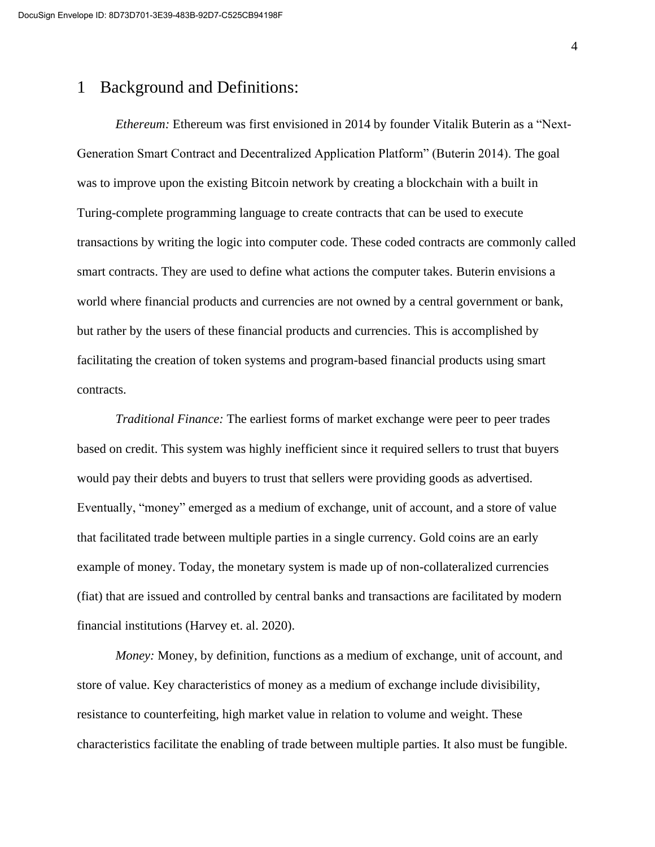## 1 Background and Definitions:

*Ethereum:* Ethereum was first envisioned in 2014 by founder Vitalik Buterin as a "Next-Generation Smart Contract and Decentralized Application Platform" (Buterin 2014). The goal was to improve upon the existing Bitcoin network by creating a blockchain with a built in Turing-complete programming language to create contracts that can be used to execute transactions by writing the logic into computer code. These coded contracts are commonly called smart contracts. They are used to define what actions the computer takes. Buterin envisions a world where financial products and currencies are not owned by a central government or bank, but rather by the users of these financial products and currencies. This is accomplished by facilitating the creation of token systems and program-based financial products using smart contracts.

*Traditional Finance:* The earliest forms of market exchange were peer to peer trades based on credit. This system was highly inefficient since it required sellers to trust that buyers would pay their debts and buyers to trust that sellers were providing goods as advertised. Eventually, "money" emerged as a medium of exchange, unit of account, and a store of value that facilitated trade between multiple parties in a single currency. Gold coins are an early example of money. Today, the monetary system is made up of non-collateralized currencies (fiat) that are issued and controlled by central banks and transactions are facilitated by modern financial institutions (Harvey et. al. 2020).

*Money:* Money, by definition, functions as a medium of exchange, unit of account, and store of value. Key characteristics of money as a medium of exchange include divisibility, resistance to counterfeiting, high market value in relation to volume and weight. These characteristics facilitate the enabling of trade between multiple parties. It also must be fungible.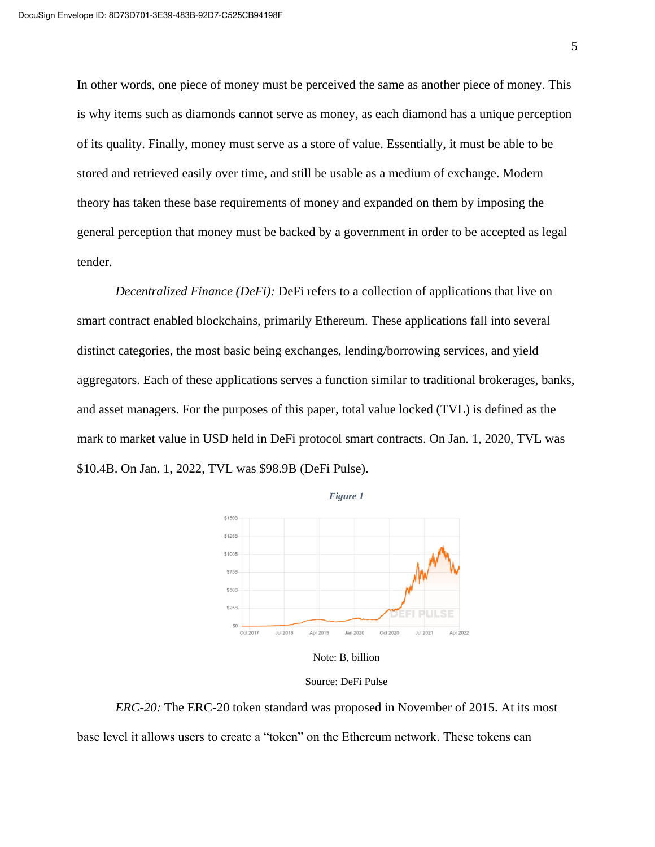In other words, one piece of money must be perceived the same as another piece of money. This is why items such as diamonds cannot serve as money, as each diamond has a unique perception of its quality. Finally, money must serve as a store of value. Essentially, it must be able to be stored and retrieved easily over time, and still be usable as a medium of exchange. Modern theory has taken these base requirements of money and expanded on them by imposing the general perception that money must be backed by a government in order to be accepted as legal tender.

*Decentralized Finance (DeFi):* DeFi refers to a collection of applications that live on smart contract enabled blockchains, primarily Ethereum. These applications fall into several distinct categories, the most basic being exchanges, lending/borrowing services, and yield aggregators. Each of these applications serves a function similar to traditional brokerages, banks, and asset managers. For the purposes of this paper, total value locked (TVL) is defined as the mark to market value in USD held in DeFi protocol smart contracts. On Jan. 1, 2020, TVL was \$10.4B. On Jan. 1, 2022, TVL was \$98.9B (DeFi Pulse).





Source: DeFi Pulse

*ERC-20:* The ERC-20 token standard was proposed in November of 2015. At its most base level it allows users to create a "token" on the Ethereum network. These tokens can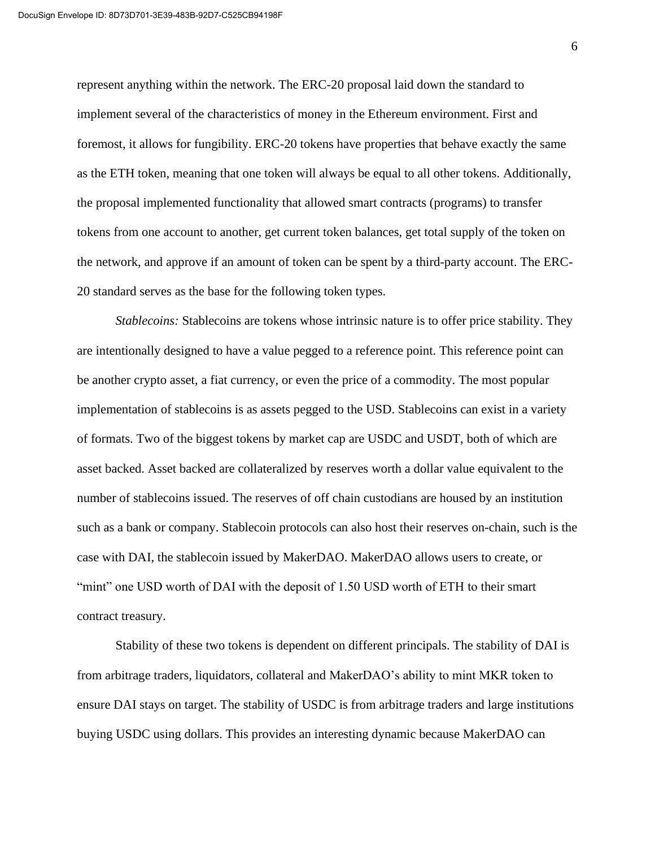represent anything within the network. The ERC-20 proposal laid down the standard to implement several of the characteristics of money in the Ethereum environment. First and foremost, it allows for fungibility. ERC-20 tokens have properties that behave exactly the same as the ETH token, meaning that one token will always be equal to all other tokens. Additionally, the proposal implemented functionality that allowed smart contracts (programs) to transfer tokens from one account to another, get current token balances, get total supply of the token on the network, and approve if an amount of token can be spent by a third-party account. The ERC-20 standard serves as the base for the following token types.

*Stablecoins:* Stablecoins are tokens whose intrinsic nature is to offer price stability. They are intentionally designed to have a value pegged to a reference point. This reference point can be another crypto asset, a fiat currency, or even the price of a commodity. The most popular implementation of stablecoins is as assets pegged to the USD. Stablecoins can exist in a variety of formats. Two of the biggest tokens by market cap are USDC and USDT, both of which are asset backed. Asset backed are collateralized by reserves worth a dollar value equivalent to the number of stablecoins issued. The reserves of off chain custodians are housed by an institution such as a bank or company. Stablecoin protocols can also host their reserves on-chain, such is the case with DAI, the stablecoin issued by MakerDAO. MakerDAO allows users to create, or "mint" one USD worth of DAI with the deposit of 1.50 USD worth of ETH to their smart contract treasury.

Stability of these two tokens is dependent on different principals. The stability of DAI is from arbitrage traders, liquidators, collateral and MakerDAO's ability to mint MKR token to ensure DAI stays on target. The stability of USDC is from arbitrage traders and large institutions buying USDC using dollars. This provides an interesting dynamic because MakerDAO can

6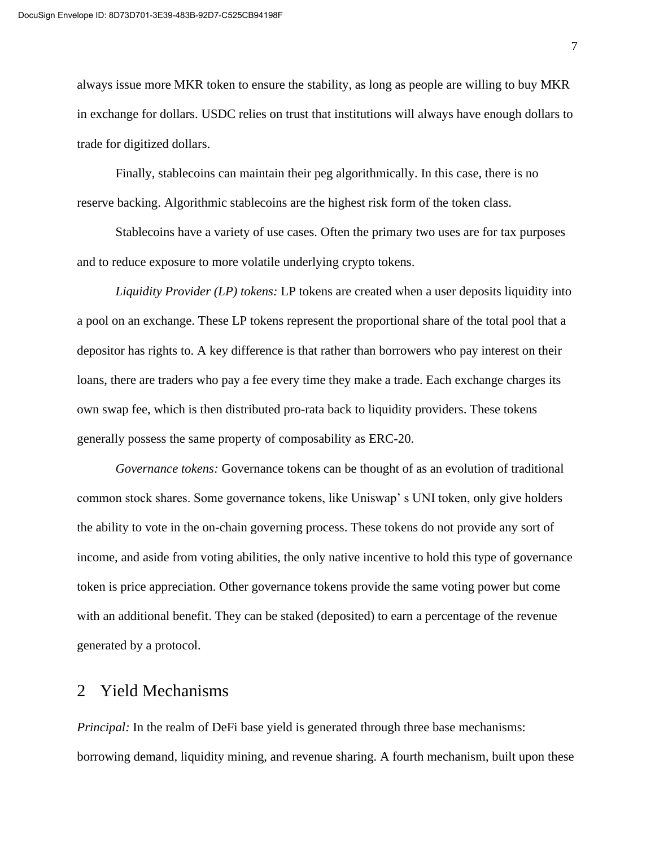always issue more MKR token to ensure the stability, as long as people are willing to buy MKR in exchange for dollars. USDC relies on trust that institutions will always have enough dollars to trade for digitized dollars.

Finally, stablecoins can maintain their peg algorithmically. In this case, there is no reserve backing. Algorithmic stablecoins are the highest risk form of the token class.

Stablecoins have a variety of use cases. Often the primary two uses are for tax purposes and to reduce exposure to more volatile underlying crypto tokens.

*Liquidity Provider (LP) tokens:* LP tokens are created when a user deposits liquidity into a pool on an exchange. These LP tokens represent the proportional share of the total pool that a depositor has rights to. A key difference is that rather than borrowers who pay interest on their loans, there are traders who pay a fee every time they make a trade. Each exchange charges its own swap fee, which is then distributed pro-rata back to liquidity providers. These tokens generally possess the same property of composability as ERC-20.

*Governance tokens:* Governance tokens can be thought of as an evolution of traditional common stock shares. Some governance tokens, like Uniswap' s UNI token, only give holders the ability to vote in the on-chain governing process. These tokens do not provide any sort of income, and aside from voting abilities, the only native incentive to hold this type of governance token is price appreciation. Other governance tokens provide the same voting power but come with an additional benefit. They can be staked (deposited) to earn a percentage of the revenue generated by a protocol.

## 2 Yield Mechanisms

*Principal:* In the realm of DeFi base yield is generated through three base mechanisms: borrowing demand, liquidity mining, and revenue sharing. A fourth mechanism, built upon these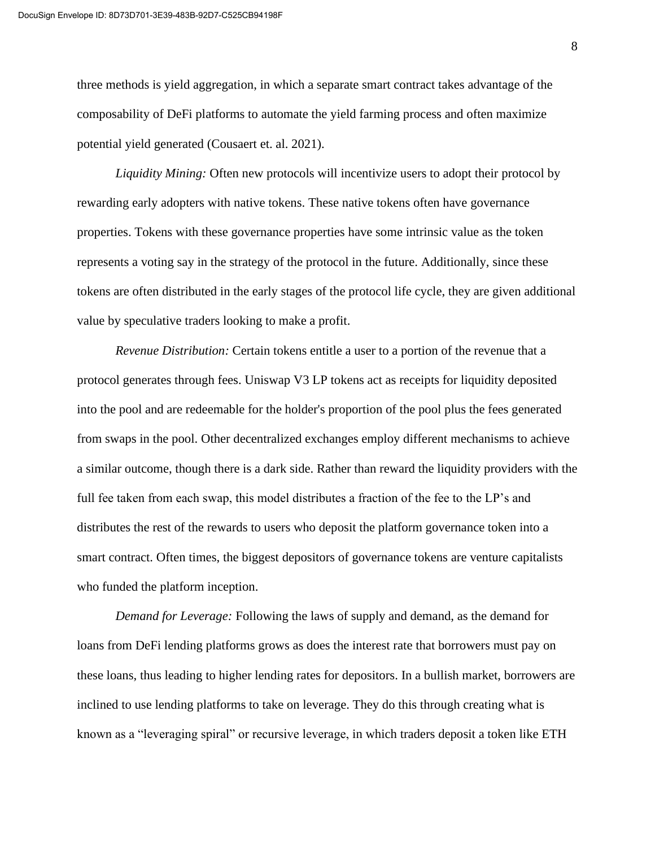three methods is yield aggregation, in which a separate smart contract takes advantage of the composability of DeFi platforms to automate the yield farming process and often maximize potential yield generated (Cousaert et. al. 2021).

*Liquidity Mining:* Often new protocols will incentivize users to adopt their protocol by rewarding early adopters with native tokens. These native tokens often have governance properties. Tokens with these governance properties have some intrinsic value as the token represents a voting say in the strategy of the protocol in the future. Additionally, since these tokens are often distributed in the early stages of the protocol life cycle, they are given additional value by speculative traders looking to make a profit.

*Revenue Distribution:* Certain tokens entitle a user to a portion of the revenue that a protocol generates through fees. Uniswap V3 LP tokens act as receipts for liquidity deposited into the pool and are redeemable for the holder's proportion of the pool plus the fees generated from swaps in the pool. Other decentralized exchanges employ different mechanisms to achieve a similar outcome, though there is a dark side. Rather than reward the liquidity providers with the full fee taken from each swap, this model distributes a fraction of the fee to the LP's and distributes the rest of the rewards to users who deposit the platform governance token into a smart contract. Often times, the biggest depositors of governance tokens are venture capitalists who funded the platform inception.

*Demand for Leverage:* Following the laws of supply and demand, as the demand for loans from DeFi lending platforms grows as does the interest rate that borrowers must pay on these loans, thus leading to higher lending rates for depositors. In a bullish market, borrowers are inclined to use lending platforms to take on leverage. They do this through creating what is known as a "leveraging spiral" or recursive leverage, in which traders deposit a token like ETH

8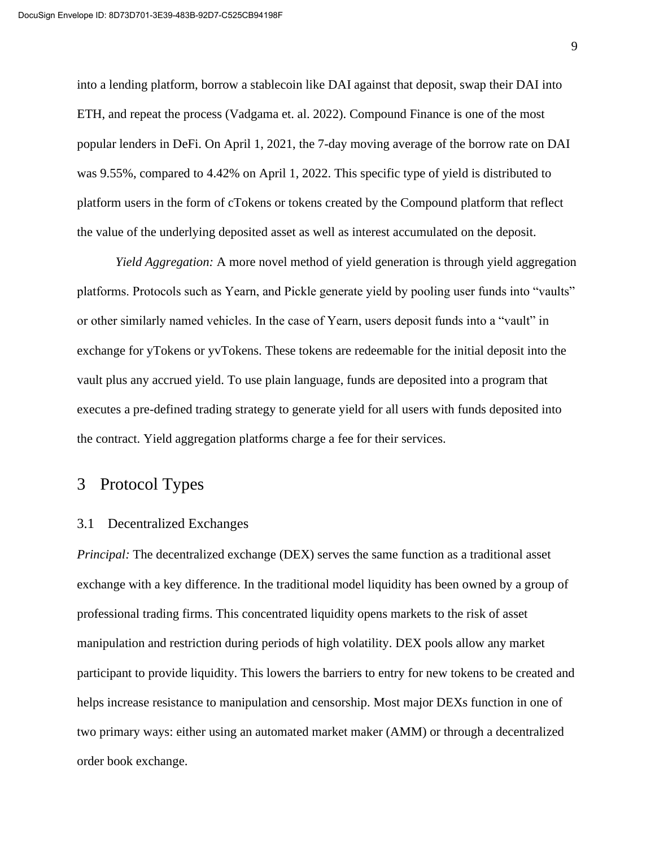into a lending platform, borrow a stablecoin like DAI against that deposit, swap their DAI into ETH, and repeat the process (Vadgama et. al. 2022). Compound Finance is one of the most popular lenders in DeFi. On April 1, 2021, the 7-day moving average of the borrow rate on DAI was 9.55%, compared to 4.42% on April 1, 2022. This specific type of yield is distributed to platform users in the form of cTokens or tokens created by the Compound platform that reflect the value of the underlying deposited asset as well as interest accumulated on the deposit.

*Yield Aggregation:* A more novel method of yield generation is through yield aggregation platforms. Protocols such as Yearn, and Pickle generate yield by pooling user funds into "vaults" or other similarly named vehicles. In the case of Yearn, users deposit funds into a "vault" in exchange for yTokens or yvTokens. These tokens are redeemable for the initial deposit into the vault plus any accrued yield. To use plain language, funds are deposited into a program that executes a pre-defined trading strategy to generate yield for all users with funds deposited into the contract. Yield aggregation platforms charge a fee for their services.

## 3 Protocol Types

#### 3.1 Decentralized Exchanges

*Principal:* The decentralized exchange (DEX) serves the same function as a traditional asset exchange with a key difference. In the traditional model liquidity has been owned by a group of professional trading firms. This concentrated liquidity opens markets to the risk of asset manipulation and restriction during periods of high volatility. DEX pools allow any market participant to provide liquidity. This lowers the barriers to entry for new tokens to be created and helps increase resistance to manipulation and censorship. Most major DEXs function in one of two primary ways: either using an automated market maker (AMM) or through a decentralized order book exchange.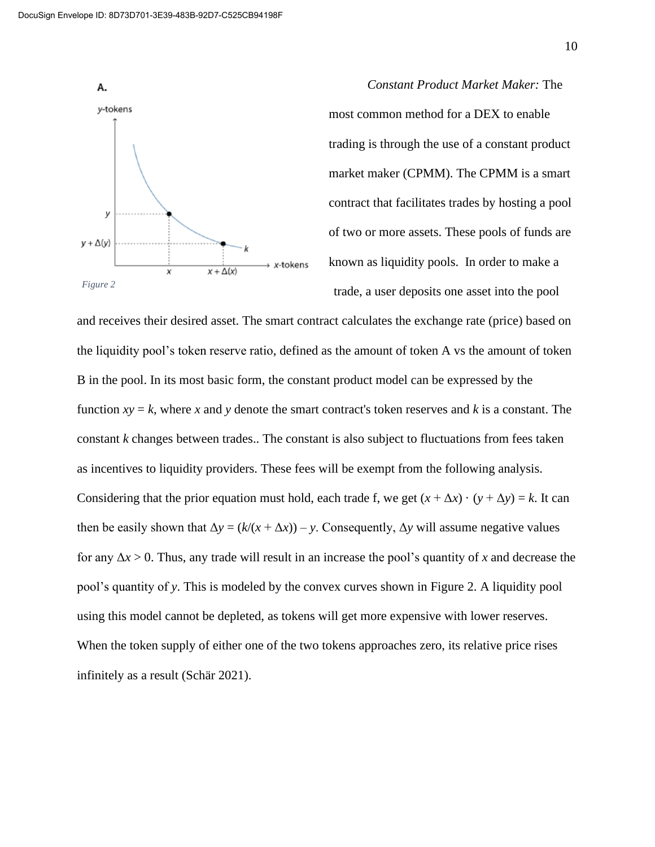

*Constant Product Market Maker:* The most common method for a DEX to enable trading is through the use of a constant product market maker (CPMM). The CPMM is a smart contract that facilitates trades by hosting a pool of two or more assets. These pools of funds are known as liquidity pools. In order to make a trade, a user deposits one asset into the pool

and receives their desired asset. The smart contract calculates the exchange rate (price) based on the liquidity pool's token reserve ratio, defined as the amount of token A vs the amount of token B in the pool. In its most basic form, the constant product model can be expressed by the function  $xy = k$ , where x and y denote the smart contract's token reserves and k is a constant. The constant *k* changes between trades.. The constant is also subject to fluctuations from fees taken as incentives to liquidity providers. These fees will be exempt from the following analysis. Considering that the prior equation must hold, each trade f, we get  $(x + \Delta x) \cdot (y + \Delta y) = k$ . It can then be easily shown that  $\Delta y = (k/(x + \Delta x)) - y$ . Consequently,  $\Delta y$  will assume negative values for any Δ*x* > 0. Thus, any trade will result in an increase the pool's quantity of *x* and decrease the pool's quantity of *y*. This is modeled by the convex curves shown in Figure 2. A liquidity pool using this model cannot be depleted, as tokens will get more expensive with lower reserves. When the token supply of either one of the two tokens approaches zero, its relative price rises infinitely as a result (Schär 2021).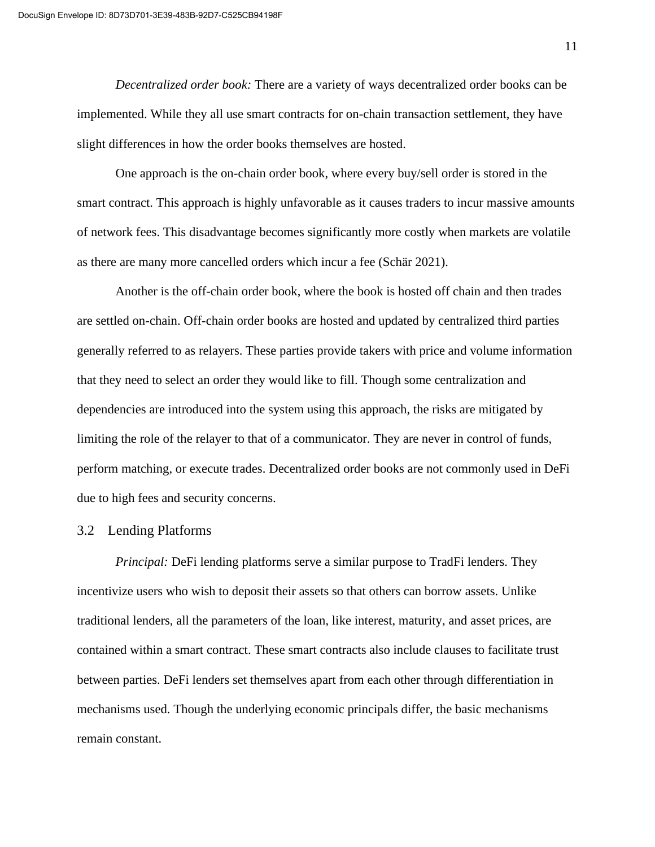*Decentralized order book:* There are a variety of ways decentralized order books can be implemented. While they all use smart contracts for on-chain transaction settlement, they have slight differences in how the order books themselves are hosted.

One approach is the on-chain order book, where every buy/sell order is stored in the smart contract. This approach is highly unfavorable as it causes traders to incur massive amounts of network fees. This disadvantage becomes significantly more costly when markets are volatile as there are many more cancelled orders which incur a fee (Schär 2021).

Another is the off-chain order book, where the book is hosted off chain and then trades are settled on-chain. Off-chain order books are hosted and updated by centralized third parties generally referred to as relayers. These parties provide takers with price and volume information that they need to select an order they would like to fill. Though some centralization and dependencies are introduced into the system using this approach, the risks are mitigated by limiting the role of the relayer to that of a communicator. They are never in control of funds, perform matching, or execute trades. Decentralized order books are not commonly used in DeFi due to high fees and security concerns.

#### 3.2 Lending Platforms

*Principal:* DeFi lending platforms serve a similar purpose to TradFi lenders. They incentivize users who wish to deposit their assets so that others can borrow assets. Unlike traditional lenders, all the parameters of the loan, like interest, maturity, and asset prices, are contained within a smart contract. These smart contracts also include clauses to facilitate trust between parties. DeFi lenders set themselves apart from each other through differentiation in mechanisms used. Though the underlying economic principals differ, the basic mechanisms remain constant.

11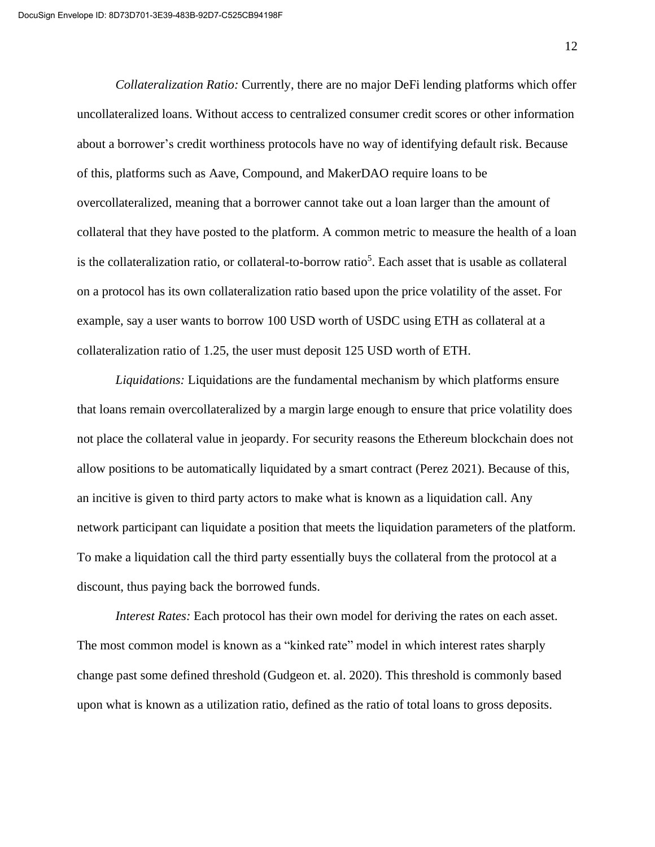*Collateralization Ratio:* Currently, there are no major DeFi lending platforms which offer uncollateralized loans. Without access to centralized consumer credit scores or other information about a borrower's credit worthiness protocols have no way of identifying default risk. Because of this, platforms such as Aave, Compound, and MakerDAO require loans to be overcollateralized, meaning that a borrower cannot take out a loan larger than the amount of collateral that they have posted to the platform. A common metric to measure the health of a loan is the collateralization ratio, or collateral-to-borrow ratio<sup>5</sup>. Each asset that is usable as collateral on a protocol has its own collateralization ratio based upon the price volatility of the asset. For example, say a user wants to borrow 100 USD worth of USDC using ETH as collateral at a collateralization ratio of 1.25, the user must deposit 125 USD worth of ETH.

*Liquidations:* Liquidations are the fundamental mechanism by which platforms ensure that loans remain overcollateralized by a margin large enough to ensure that price volatility does not place the collateral value in jeopardy. For security reasons the Ethereum blockchain does not allow positions to be automatically liquidated by a smart contract (Perez 2021). Because of this, an incitive is given to third party actors to make what is known as a liquidation call. Any network participant can liquidate a position that meets the liquidation parameters of the platform. To make a liquidation call the third party essentially buys the collateral from the protocol at a discount, thus paying back the borrowed funds.

*Interest Rates:* Each protocol has their own model for deriving the rates on each asset. The most common model is known as a "kinked rate" model in which interest rates sharply change past some defined threshold (Gudgeon et. al. 2020). This threshold is commonly based upon what is known as a utilization ratio, defined as the ratio of total loans to gross deposits.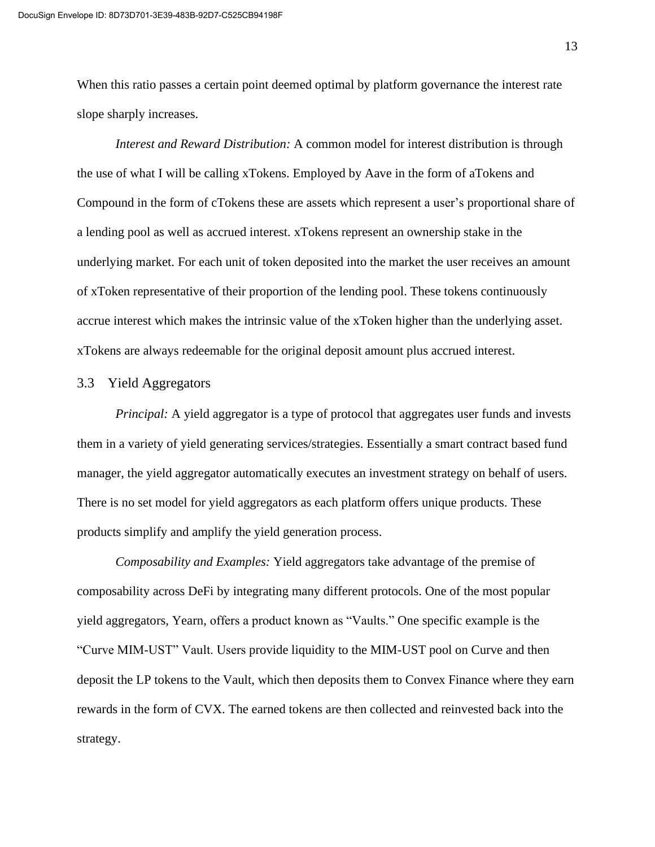When this ratio passes a certain point deemed optimal by platform governance the interest rate slope sharply increases.

*Interest and Reward Distribution:* A common model for interest distribution is through the use of what I will be calling xTokens. Employed by Aave in the form of aTokens and Compound in the form of cTokens these are assets which represent a user's proportional share of a lending pool as well as accrued interest. xTokens represent an ownership stake in the underlying market. For each unit of token deposited into the market the user receives an amount of xToken representative of their proportion of the lending pool. These tokens continuously accrue interest which makes the intrinsic value of the xToken higher than the underlying asset. xTokens are always redeemable for the original deposit amount plus accrued interest.

#### 3.3 Yield Aggregators

*Principal:* A yield aggregator is a type of protocol that aggregates user funds and invests them in a variety of yield generating services/strategies. Essentially a smart contract based fund manager, the yield aggregator automatically executes an investment strategy on behalf of users. There is no set model for yield aggregators as each platform offers unique products. These products simplify and amplify the yield generation process.

*Composability and Examples:* Yield aggregators take advantage of the premise of composability across DeFi by integrating many different protocols. One of the most popular yield aggregators, Yearn, offers a product known as "Vaults." One specific example is the "Curve MIM-UST" Vault. Users provide liquidity to the MIM-UST pool on Curve and then deposit the LP tokens to the Vault, which then deposits them to Convex Finance where they earn rewards in the form of CVX. The earned tokens are then collected and reinvested back into the strategy.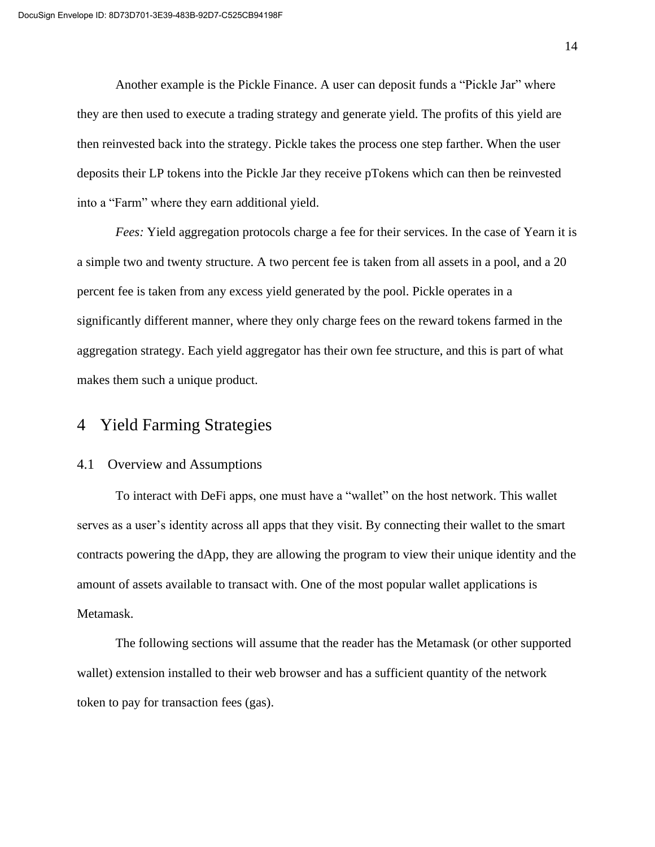Another example is the Pickle Finance. A user can deposit funds a "Pickle Jar" where they are then used to execute a trading strategy and generate yield. The profits of this yield are then reinvested back into the strategy. Pickle takes the process one step farther. When the user deposits their LP tokens into the Pickle Jar they receive pTokens which can then be reinvested into a "Farm" where they earn additional yield.

*Fees:* Yield aggregation protocols charge a fee for their services. In the case of Yearn it is a simple two and twenty structure. A two percent fee is taken from all assets in a pool, and a 20 percent fee is taken from any excess yield generated by the pool. Pickle operates in a significantly different manner, where they only charge fees on the reward tokens farmed in the aggregation strategy. Each yield aggregator has their own fee structure, and this is part of what makes them such a unique product.

## 4 Yield Farming Strategies

#### 4.1 Overview and Assumptions

To interact with DeFi apps, one must have a "wallet" on the host network. This wallet serves as a user's identity across all apps that they visit. By connecting their wallet to the smart contracts powering the dApp, they are allowing the program to view their unique identity and the amount of assets available to transact with. One of the most popular wallet applications is Metamask.

The following sections will assume that the reader has the Metamask (or other supported wallet) extension installed to their web browser and has a sufficient quantity of the network token to pay for transaction fees (gas).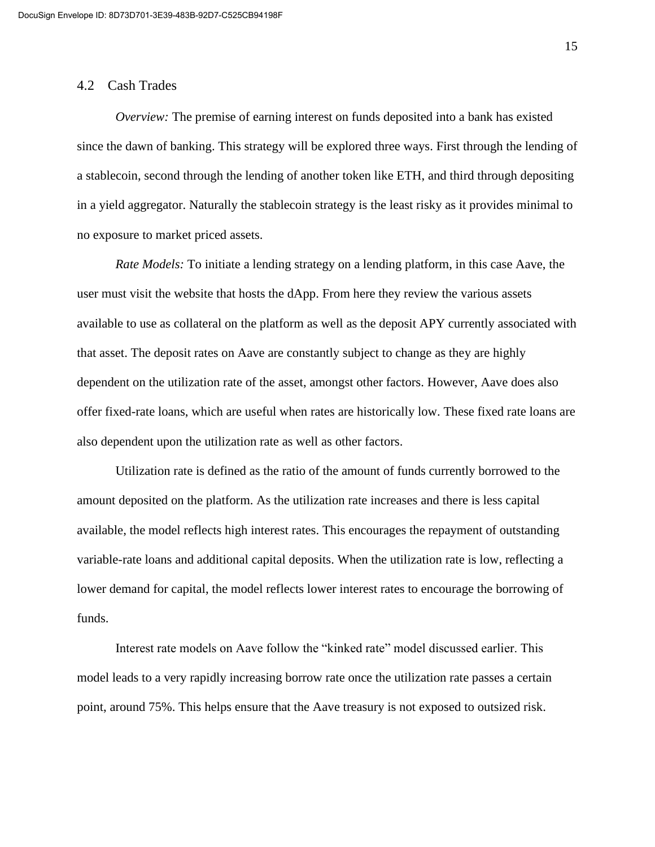#### 4.2 Cash Trades

*Overview:* The premise of earning interest on funds deposited into a bank has existed since the dawn of banking. This strategy will be explored three ways. First through the lending of a stablecoin, second through the lending of another token like ETH, and third through depositing in a yield aggregator. Naturally the stablecoin strategy is the least risky as it provides minimal to no exposure to market priced assets.

*Rate Models:* To initiate a lending strategy on a lending platform, in this case Aave, the user must visit the website that hosts the dApp. From here they review the various assets available to use as collateral on the platform as well as the deposit APY currently associated with that asset. The deposit rates on Aave are constantly subject to change as they are highly dependent on the utilization rate of the asset, amongst other factors. However, Aave does also offer fixed-rate loans, which are useful when rates are historically low. These fixed rate loans are also dependent upon the utilization rate as well as other factors.

Utilization rate is defined as the ratio of the amount of funds currently borrowed to the amount deposited on the platform. As the utilization rate increases and there is less capital available, the model reflects high interest rates. This encourages the repayment of outstanding variable-rate loans and additional capital deposits. When the utilization rate is low, reflecting a lower demand for capital, the model reflects lower interest rates to encourage the borrowing of funds.

Interest rate models on Aave follow the "kinked rate" model discussed earlier. This model leads to a very rapidly increasing borrow rate once the utilization rate passes a certain point, around 75%. This helps ensure that the Aave treasury is not exposed to outsized risk.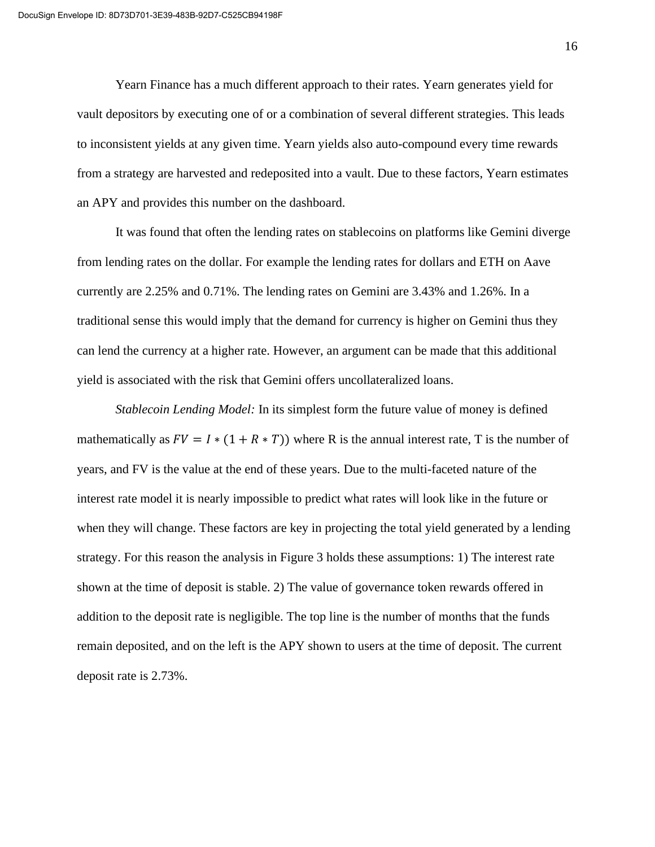Yearn Finance has a much different approach to their rates. Yearn generates yield for vault depositors by executing one of or a combination of several different strategies. This leads to inconsistent yields at any given time. Yearn yields also auto-compound every time rewards from a strategy are harvested and redeposited into a vault. Due to these factors, Yearn estimates an APY and provides this number on the dashboard.

It was found that often the lending rates on stablecoins on platforms like Gemini diverge from lending rates on the dollar. For example the lending rates for dollars and ETH on Aave currently are 2.25% and 0.71%. The lending rates on Gemini are 3.43% and 1.26%. In a traditional sense this would imply that the demand for currency is higher on Gemini thus they can lend the currency at a higher rate. However, an argument can be made that this additional yield is associated with the risk that Gemini offers uncollateralized loans.

*Stablecoin Lending Model:* In its simplest form the future value of money is defined mathematically as  $FV = I * (1 + R * T)$  where R is the annual interest rate, T is the number of years, and FV is the value at the end of these years. Due to the multi-faceted nature of the interest rate model it is nearly impossible to predict what rates will look like in the future or when they will change. These factors are key in projecting the total yield generated by a lending strategy. For this reason the analysis in Figure 3 holds these assumptions: 1) The interest rate shown at the time of deposit is stable. 2) The value of governance token rewards offered in addition to the deposit rate is negligible. The top line is the number of months that the funds remain deposited, and on the left is the APY shown to users at the time of deposit. The current deposit rate is 2.73%.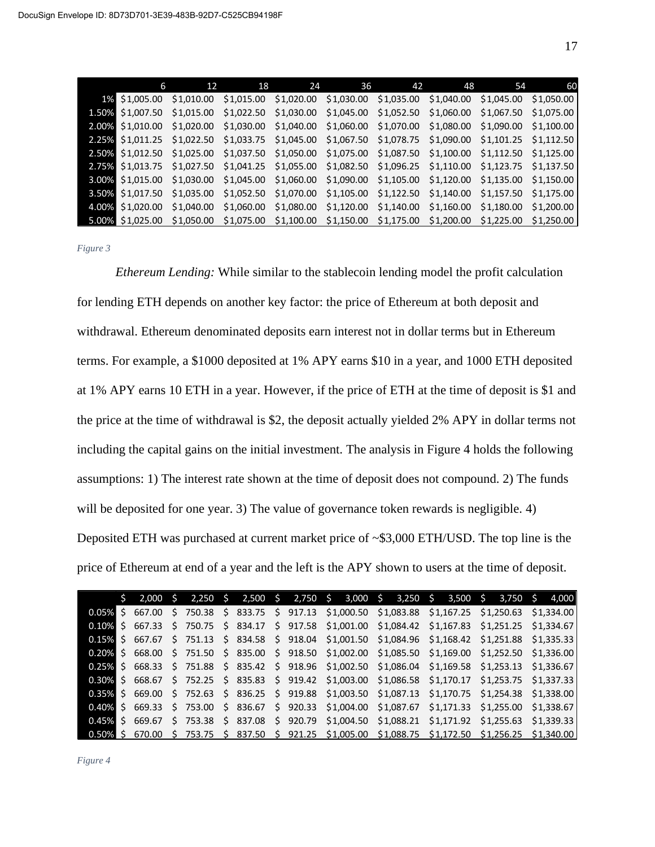| 6                                                                                                               | 12 | 18 | 24 | 36 | 42 | 48 | 54 | 60 |
|-----------------------------------------------------------------------------------------------------------------|----|----|----|----|----|----|----|----|
| 1% \$1,005.00 \$1,010.00 \$1,015.00 \$1,020.00 \$1,030.00 \$1,035.00 \$1,040.00 \$1,045.00 \$1,050.00           |    |    |    |    |    |    |    |    |
| 1,50% \$1,007.50 \$1,015.00 \$1,022.50 \$1,030.00 \$1,045.00 \$1,052.50 \$1,060.00 \$1,067.50 \$1,075.00        |    |    |    |    |    |    |    |    |
| 2.00% \$1,010.00 \$1,020.00 \$1,030.00 \$1,040.00 \$1,060.00 \$1,070.00 \$1,080.00 \$1,090.00 \$1,100.00        |    |    |    |    |    |    |    |    |
| 2.25% \$1,011.25 \$1,022.50 \$1,033.75 \$1,045.00 \$1,067.50 \$1,078.75 \$1,090.00 \$1,101.25 \$1,112.50        |    |    |    |    |    |    |    |    |
| 2.50% \$1,012.50 \$1,025.00 \$1,037.50 \$1,050.00 \$1,075.00 \$1,087.50 \$1,100.00 \$1,112.50 \$1,125.00        |    |    |    |    |    |    |    |    |
| 2.75% \$1,013.75 \$1,027.50 \$1,041.25 \$1,055.00 \$1,082.50 \$1,096.25 \$1,110.00 \$1,123.75 \$1,137.50        |    |    |    |    |    |    |    |    |
| <b>3.00%</b> \$1,015.00 \$1,030.00 \$1,045.00 \$1,060.00 \$1,090.00 \$1,105.00 \$1,120.00 \$1,135.00 \$1,150.00 |    |    |    |    |    |    |    |    |
| <b>3.50% \$1,017.50 \$1,035.00 \$1,052.50 \$1,070.00 \$1,105.00 \$1,122.50 \$1,140.00 \$1,157.50 \$1,175.00</b> |    |    |    |    |    |    |    |    |
| 4.00% \$1,020.00 \$1,040.00 \$1,060.00 \$1,080.00 \$1,120.00 \$1,140.00 \$1,160.00 \$1,180.00 \$1,200.00        |    |    |    |    |    |    |    |    |
| 5.00% \$1,025.00 \$1,050.00 \$1,075.00 \$1,100.00 \$1,150.00 \$1,175.00 \$1,200.00 \$1,225.00 \$1,250.00        |    |    |    |    |    |    |    |    |

*Figure 3*

*Ethereum Lending:* While similar to the stablecoin lending model the profit calculation for lending ETH depends on another key factor: the price of Ethereum at both deposit and withdrawal. Ethereum denominated deposits earn interest not in dollar terms but in Ethereum terms. For example, a \$1000 deposited at 1% APY earns \$10 in a year, and 1000 ETH deposited at 1% APY earns 10 ETH in a year. However, if the price of ETH at the time of deposit is \$1 and the price at the time of withdrawal is \$2, the deposit actually yielded 2% APY in dollar terms not including the capital gains on the initial investment. The analysis in Figure 4 holds the following assumptions: 1) The interest rate shown at the time of deposit does not compound. 2) The funds will be deposited for one year. 3) The value of governance token rewards is negligible. 4) Deposited ETH was purchased at current market price of ~\$3,000 ETH/USD. The top line is the price of Ethereum at end of a year and the left is the APY shown to users at the time of deposit.

|  |  |  |  |  |  | $\frac{1}{2}$ 2,000 \$ 2,250 \$ 2,500 \$ 2,750 \$ 3,000 \$ 3,250 \$ 3,500 \$ 3,750 \$ 4,000             |  |
|--|--|--|--|--|--|---------------------------------------------------------------------------------------------------------|--|
|  |  |  |  |  |  | 0.05% \$ 667.00 \$ 750.38 \$ 833.75 \$ 917.13 \$1,000.50 \$1,083.88 \$1,167.25 \$1,250.63 \$1,334.00    |  |
|  |  |  |  |  |  | $0.10\%$ \$ 667.33 \$ 750.75 \$ 834.17 \$ 917.58 \$1,001.00 \$1,084.42 \$1,167.83 \$1,251.25 \$1,334.67 |  |
|  |  |  |  |  |  | 0.15% \$ 667.67 \$ 751.13 \$ 834.58 \$ 918.04 \$1,001.50 \$1,084.96 \$1,168.42 \$1,251.88 \$1,335.33    |  |
|  |  |  |  |  |  | $0.20\%$ \$ 668.00 \$ 751.50 \$ 835.00 \$ 918.50 \$1,002.00 \$1,085.50 \$1,169.00 \$1,252.50 \$1,336.00 |  |
|  |  |  |  |  |  | 0.25% \$ 668.33 \$ 751.88 \$ 835.42 \$ 918.96 \$1,002.50 \$1,086.04 \$1,169.58 \$1,253.13 \$1,336.67    |  |
|  |  |  |  |  |  | 0.30% \$ 668.67 \$ 752.25 \$ 835.83 \$ 919.42 \$1,003.00 \$1,086.58 \$1,170.17 \$1,253.75 \$1,337.33    |  |
|  |  |  |  |  |  | 0.35% \$ 669.00 \$ 752.63 \$ 836.25 \$ 919.88 \$1,003.50 \$1,087.13 \$1,170.75 \$1,254.38 \$1,338.00    |  |
|  |  |  |  |  |  | $0.40\%$ \$ 669.33 \$ 753.00 \$ 836.67 \$ 920.33 \$1,004.00 \$1,087.67 \$1,171.33 \$1,255.00 \$1,338.67 |  |
|  |  |  |  |  |  | 0.45% \$ 669.67 \$ 753.38 \$ 837.08 \$ 920.79 \$1,004.50 \$1,088.21 \$1,171.92 \$1,255.63 \$1,339.33    |  |
|  |  |  |  |  |  | 0.50% \$ 670.00 \$ 753.75 \$ 837.50 \$ 921.25 \$1,005.00 \$1,088.75 \$1,172.50 \$1,256.25 \$1,340.00    |  |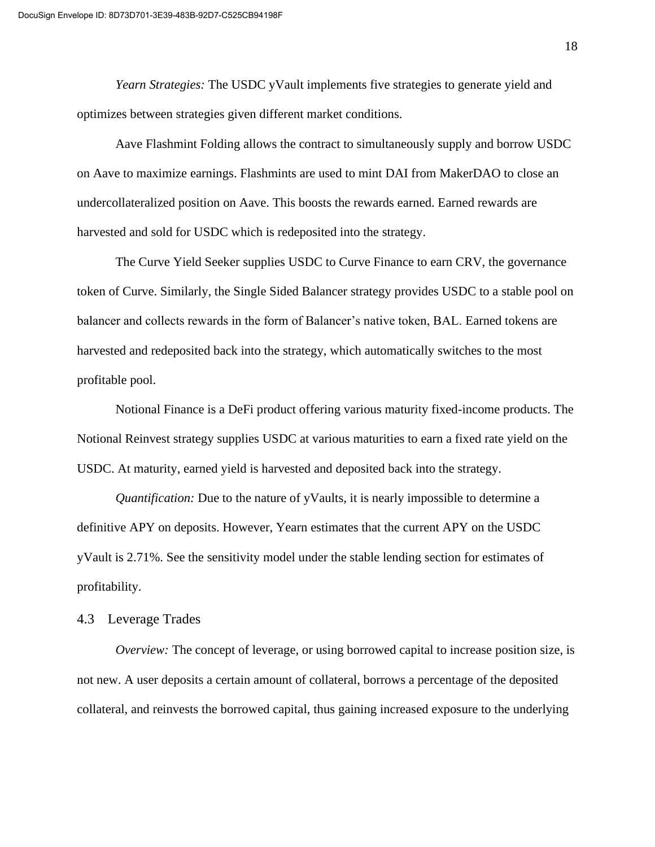*Yearn Strategies:* The USDC yVault implements five strategies to generate yield and optimizes between strategies given different market conditions.

Aave Flashmint Folding allows the contract to simultaneously supply and borrow USDC on Aave to maximize earnings. Flashmints are used to mint DAI from MakerDAO to close an undercollateralized position on Aave. This boosts the rewards earned. Earned rewards are harvested and sold for USDC which is redeposited into the strategy.

The Curve Yield Seeker supplies USDC to Curve Finance to earn CRV, the governance token of Curve. Similarly, the Single Sided Balancer strategy provides USDC to a stable pool on balancer and collects rewards in the form of Balancer's native token, BAL. Earned tokens are harvested and redeposited back into the strategy, which automatically switches to the most profitable pool.

Notional Finance is a DeFi product offering various maturity fixed-income products. The Notional Reinvest strategy supplies USDC at various maturities to earn a fixed rate yield on the USDC. At maturity, earned yield is harvested and deposited back into the strategy.

*Quantification:* Due to the nature of yVaults, it is nearly impossible to determine a definitive APY on deposits. However, Yearn estimates that the current APY on the USDC yVault is 2.71%. See the sensitivity model under the stable lending section for estimates of profitability.

#### 4.3 Leverage Trades

*Overview:* The concept of leverage, or using borrowed capital to increase position size, is not new. A user deposits a certain amount of collateral, borrows a percentage of the deposited collateral, and reinvests the borrowed capital, thus gaining increased exposure to the underlying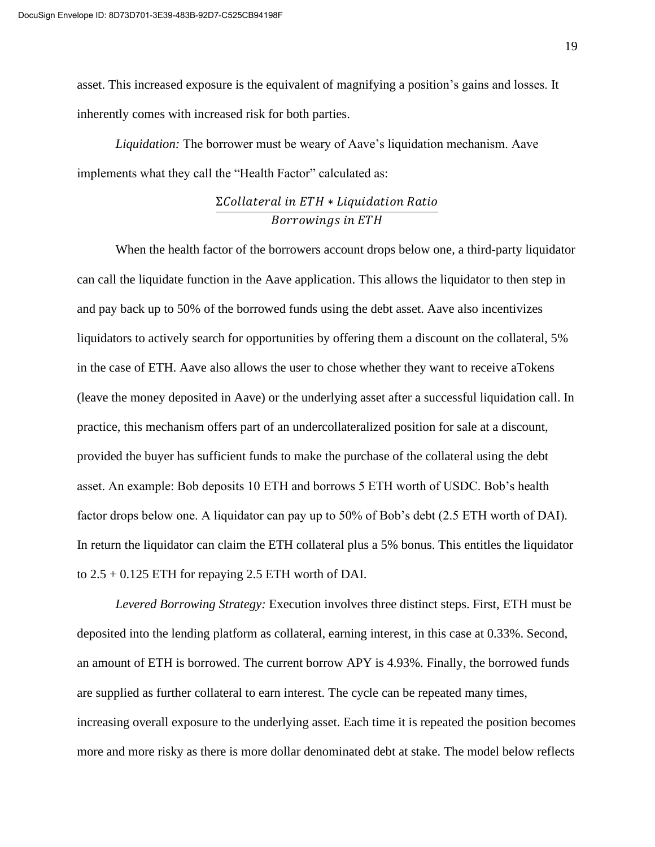asset. This increased exposure is the equivalent of magnifying a position's gains and losses. It inherently comes with increased risk for both parties.

*Liquidation:* The borrower must be weary of Aave's liquidation mechanism. Aave implements what they call the "Health Factor" calculated as:

## $\Sigma$ Collateral in ETH \* Liquidation Ratio Borrowings in ETH

When the health factor of the borrowers account drops below one, a third-party liquidator can call the liquidate function in the Aave application. This allows the liquidator to then step in and pay back up to 50% of the borrowed funds using the debt asset. Aave also incentivizes liquidators to actively search for opportunities by offering them a discount on the collateral, 5% in the case of ETH. Aave also allows the user to chose whether they want to receive aTokens (leave the money deposited in Aave) or the underlying asset after a successful liquidation call. In practice, this mechanism offers part of an undercollateralized position for sale at a discount, provided the buyer has sufficient funds to make the purchase of the collateral using the debt asset. An example: Bob deposits 10 ETH and borrows 5 ETH worth of USDC. Bob's health factor drops below one. A liquidator can pay up to 50% of Bob's debt (2.5 ETH worth of DAI). In return the liquidator can claim the ETH collateral plus a 5% bonus. This entitles the liquidator to  $2.5 + 0.125$  ETH for repaying 2.5 ETH worth of DAI.

*Levered Borrowing Strategy:* Execution involves three distinct steps. First, ETH must be deposited into the lending platform as collateral, earning interest, in this case at 0.33%. Second, an amount of ETH is borrowed. The current borrow APY is 4.93%. Finally, the borrowed funds are supplied as further collateral to earn interest. The cycle can be repeated many times, increasing overall exposure to the underlying asset. Each time it is repeated the position becomes more and more risky as there is more dollar denominated debt at stake. The model below reflects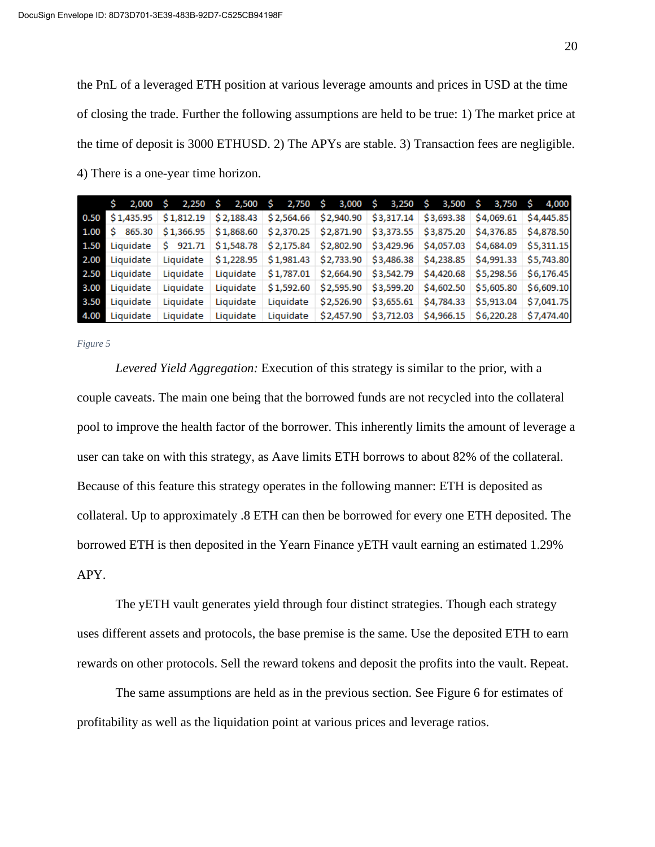the PnL of a leveraged ETH position at various leverage amounts and prices in USD at the time of closing the trade. Further the following assumptions are held to be true: 1) The market price at the time of deposit is 3000 ETHUSD. 2) The APYs are stable. 3) Transaction fees are negligible. 4) There is a one-year time horizon.

|      | S. |                | 2,000 \$ 2,250 \$ 2,500 \$ 2,750 \$ 3,000 \$ 3,250 \$ 3,500 \$ 3,750 \$ 4,000                           |           |                                                                                                                                                  |  |  |  |  |  |
|------|----|----------------|---------------------------------------------------------------------------------------------------------|-----------|--------------------------------------------------------------------------------------------------------------------------------------------------|--|--|--|--|--|
|      |    |                | 0.50 \$1,435.95 \$1,812.19 \$2,188.43 \$2,564.66 \$2,940.90 \$3,317.14 \$3,693.38 \$4,069.61 \$4,445.85 |           |                                                                                                                                                  |  |  |  |  |  |
|      |    |                | 1.00 \$ 865.30 \$1,366.95 \$1,868.60 \$2,370.25 \$2,871.90 \$3,373.55 \$3,875.20 \$4,376.85 \$4,878.50  |           |                                                                                                                                                  |  |  |  |  |  |
|      |    |                | 1.50 Liquidate \$ 921.71 \$1,548.78 \$2,175.84 \$2,802.90 \$3,429.96 \$4,057.03 \$4,684.09 \$5,311.15   |           |                                                                                                                                                  |  |  |  |  |  |
|      |    | 2.00 Liquidate | Liquidate \$1,228.95 \$1,981.43 \$2,733.90 \$3,486.38 \$4,238.85 \$4,991.33 \$5,743.80                  |           |                                                                                                                                                  |  |  |  |  |  |
|      |    | 2.50 Liquidate | Liquidate                                                                                               |           | Liquidate \$1,787.01 \$2,664.90 \$3,542.79 \$4,420.68 \$5,298.56 \$6,176.45                                                                      |  |  |  |  |  |
|      |    | 3.00 Liquidate | Liquidate                                                                                               |           | Liquidate $\frac{1}{5}$ \$1,592.60 $\frac{2}{5}$ ,595.90 $\frac{2}{5}$ ,599.20 $\frac{2}{5}$ ,602.50 $\frac{2}{5}$ ,605.80 $\frac{2}{5}$ ,609.10 |  |  |  |  |  |
| 3.50 |    | Liquidate      | Liquidate                                                                                               | Liquidate | Liquidate $\frac{1}{2}$ \$2,526.90 $\frac{1}{2}$ \$3,655.61 $\frac{1}{2}$ \$4,784.33 $\frac{1}{2}$ \$5,913.04 $\frac{1}{2}$ \$7,041.75           |  |  |  |  |  |
| 4.00 |    | Liquidate      | Liquidate                                                                                               | Liquidate | Liquidate $\frac{1}{2}$ ,457.90 $\frac{1}{2}$ ,712.03 $\frac{1}{2}$ ,966.15 $\frac{1}{2}$ 6,220.28 $\frac{1}{2}$ ,474.40                         |  |  |  |  |  |

*Figure 5*

*Levered Yield Aggregation:* Execution of this strategy is similar to the prior, with a couple caveats. The main one being that the borrowed funds are not recycled into the collateral pool to improve the health factor of the borrower. This inherently limits the amount of leverage a user can take on with this strategy, as Aave limits ETH borrows to about 82% of the collateral. Because of this feature this strategy operates in the following manner: ETH is deposited as collateral. Up to approximately .8 ETH can then be borrowed for every one ETH deposited. The borrowed ETH is then deposited in the Yearn Finance yETH vault earning an estimated 1.29% APY.

The yETH vault generates yield through four distinct strategies. Though each strategy uses different assets and protocols, the base premise is the same. Use the deposited ETH to earn rewards on other protocols. Sell the reward tokens and deposit the profits into the vault. Repeat.

The same assumptions are held as in the previous section. See Figure 6 for estimates of profitability as well as the liquidation point at various prices and leverage ratios.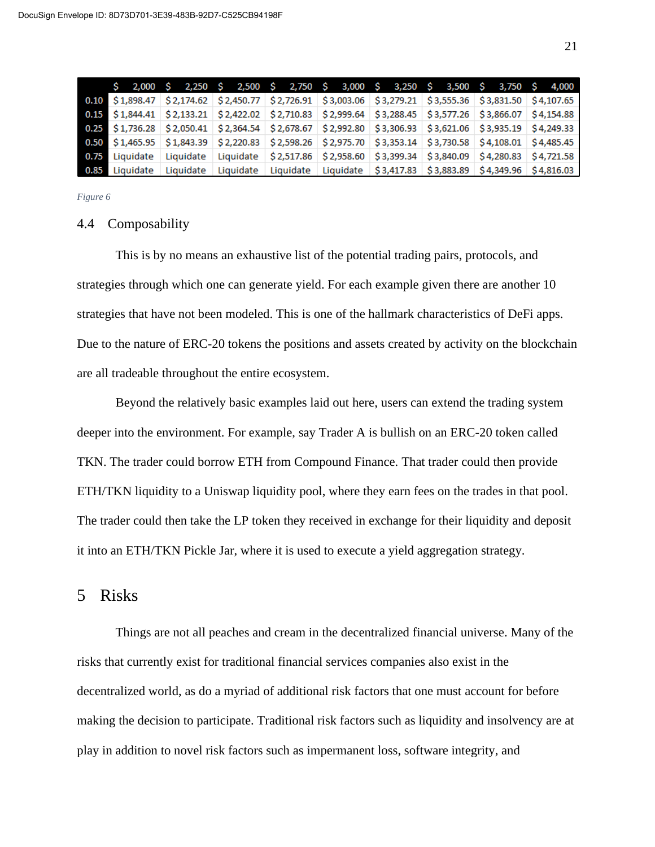|  |  |  |  |  |  | $\frac{1}{5}$ 2,000 $\frac{1}{5}$ 2,250 $\frac{1}{5}$ 2,500 $\frac{1}{5}$ 2,750 $\frac{1}{5}$ 3,000 $\frac{1}{5}$ 3,250 $\frac{1}{5}$ 3,500 $\frac{1}{5}$ 3,750 $\frac{1}{5}$ 4,000 |  |  |  |
|--|--|--|--|--|--|-------------------------------------------------------------------------------------------------------------------------------------------------------------------------------------|--|--|--|
|  |  |  |  |  |  | 0.10 \$1,898.47 \$2,174.62 \$2,450.77 \$2,726.91 \$3,003.06 \$3,279.21 \$3,555.36 \$3,831.50 \$4,107.65                                                                             |  |  |  |
|  |  |  |  |  |  | 0.15 \$1,844.41 \$2,133.21 \$2,422.02 \$2,710.83 \$2,999.64 \$3,288.45 \$3,577.26 \$3,866.07 \$4,154.88                                                                             |  |  |  |
|  |  |  |  |  |  | 0.25 \$1,736.28 \$2,050.41 \$2,364.54 \$2,678.67 \$2,992.80 \$3,306.93 \$3,621.06 \$3,935.19 \$4,249.33                                                                             |  |  |  |
|  |  |  |  |  |  | 0.50 \$1,465.95 \$1,843.39 \$2,220.83 \$2,598.26 \$2,975.70 \$3,353.14 \$3,730.58 \$4,108.01 \$4,485.45                                                                             |  |  |  |
|  |  |  |  |  |  | 0.75 Liquidate Liquidate Liquidate \$2,517.86 \$2,958.60 \$3,399.34 \$3,840.09 \$4,280.83 \$4,721.58                                                                                |  |  |  |
|  |  |  |  |  |  | 0.85 Liquidate Liquidate Liquidate Liquidate Liquidate \$3,417.83 \$3,883.89 \$4,349.96 \$4,816.03                                                                                  |  |  |  |

*Figure 6*

#### 4.4 Composability

This is by no means an exhaustive list of the potential trading pairs, protocols, and strategies through which one can generate yield. For each example given there are another 10 strategies that have not been modeled. This is one of the hallmark characteristics of DeFi apps. Due to the nature of ERC-20 tokens the positions and assets created by activity on the blockchain are all tradeable throughout the entire ecosystem.

Beyond the relatively basic examples laid out here, users can extend the trading system deeper into the environment. For example, say Trader A is bullish on an ERC-20 token called TKN. The trader could borrow ETH from Compound Finance. That trader could then provide ETH/TKN liquidity to a Uniswap liquidity pool, where they earn fees on the trades in that pool. The trader could then take the LP token they received in exchange for their liquidity and deposit it into an ETH/TKN Pickle Jar, where it is used to execute a yield aggregation strategy.

## 5 Risks

Things are not all peaches and cream in the decentralized financial universe. Many of the risks that currently exist for traditional financial services companies also exist in the decentralized world, as do a myriad of additional risk factors that one must account for before making the decision to participate. Traditional risk factors such as liquidity and insolvency are at play in addition to novel risk factors such as impermanent loss, software integrity, and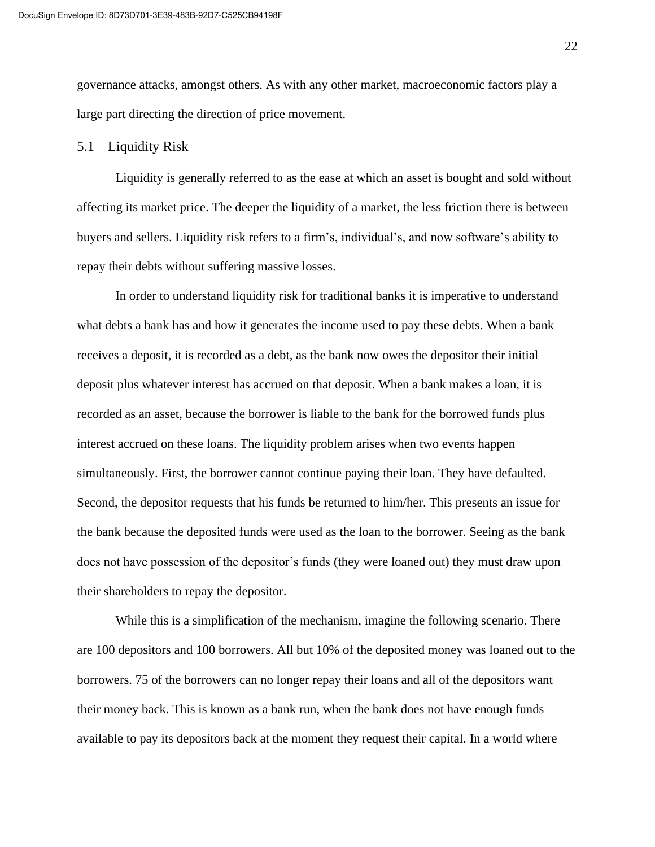governance attacks, amongst others. As with any other market, macroeconomic factors play a large part directing the direction of price movement.

#### 5.1 Liquidity Risk

Liquidity is generally referred to as the ease at which an asset is bought and sold without affecting its market price. The deeper the liquidity of a market, the less friction there is between buyers and sellers. Liquidity risk refers to a firm's, individual's, and now software's ability to repay their debts without suffering massive losses.

In order to understand liquidity risk for traditional banks it is imperative to understand what debts a bank has and how it generates the income used to pay these debts. When a bank receives a deposit, it is recorded as a debt, as the bank now owes the depositor their initial deposit plus whatever interest has accrued on that deposit. When a bank makes a loan, it is recorded as an asset, because the borrower is liable to the bank for the borrowed funds plus interest accrued on these loans. The liquidity problem arises when two events happen simultaneously. First, the borrower cannot continue paying their loan. They have defaulted. Second, the depositor requests that his funds be returned to him/her. This presents an issue for the bank because the deposited funds were used as the loan to the borrower. Seeing as the bank does not have possession of the depositor's funds (they were loaned out) they must draw upon their shareholders to repay the depositor.

While this is a simplification of the mechanism, imagine the following scenario. There are 100 depositors and 100 borrowers. All but 10% of the deposited money was loaned out to the borrowers. 75 of the borrowers can no longer repay their loans and all of the depositors want their money back. This is known as a bank run, when the bank does not have enough funds available to pay its depositors back at the moment they request their capital. In a world where

22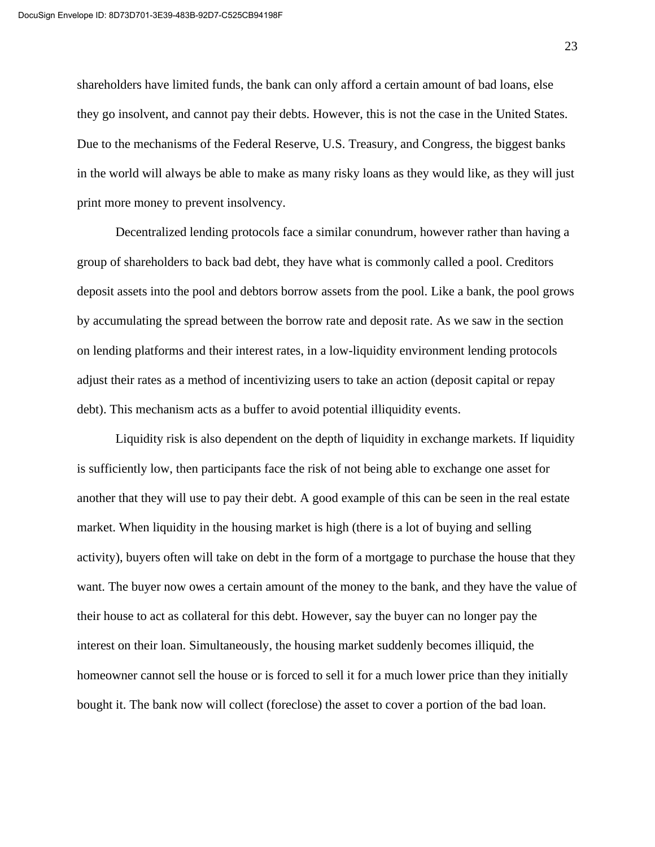shareholders have limited funds, the bank can only afford a certain amount of bad loans, else they go insolvent, and cannot pay their debts. However, this is not the case in the United States. Due to the mechanisms of the Federal Reserve, U.S. Treasury, and Congress, the biggest banks in the world will always be able to make as many risky loans as they would like, as they will just print more money to prevent insolvency.

Decentralized lending protocols face a similar conundrum, however rather than having a group of shareholders to back bad debt, they have what is commonly called a pool. Creditors deposit assets into the pool and debtors borrow assets from the pool. Like a bank, the pool grows by accumulating the spread between the borrow rate and deposit rate. As we saw in the section on lending platforms and their interest rates, in a low-liquidity environment lending protocols adjust their rates as a method of incentivizing users to take an action (deposit capital or repay debt). This mechanism acts as a buffer to avoid potential illiquidity events.

Liquidity risk is also dependent on the depth of liquidity in exchange markets. If liquidity is sufficiently low, then participants face the risk of not being able to exchange one asset for another that they will use to pay their debt. A good example of this can be seen in the real estate market. When liquidity in the housing market is high (there is a lot of buying and selling activity), buyers often will take on debt in the form of a mortgage to purchase the house that they want. The buyer now owes a certain amount of the money to the bank, and they have the value of their house to act as collateral for this debt. However, say the buyer can no longer pay the interest on their loan. Simultaneously, the housing market suddenly becomes illiquid, the homeowner cannot sell the house or is forced to sell it for a much lower price than they initially bought it. The bank now will collect (foreclose) the asset to cover a portion of the bad loan.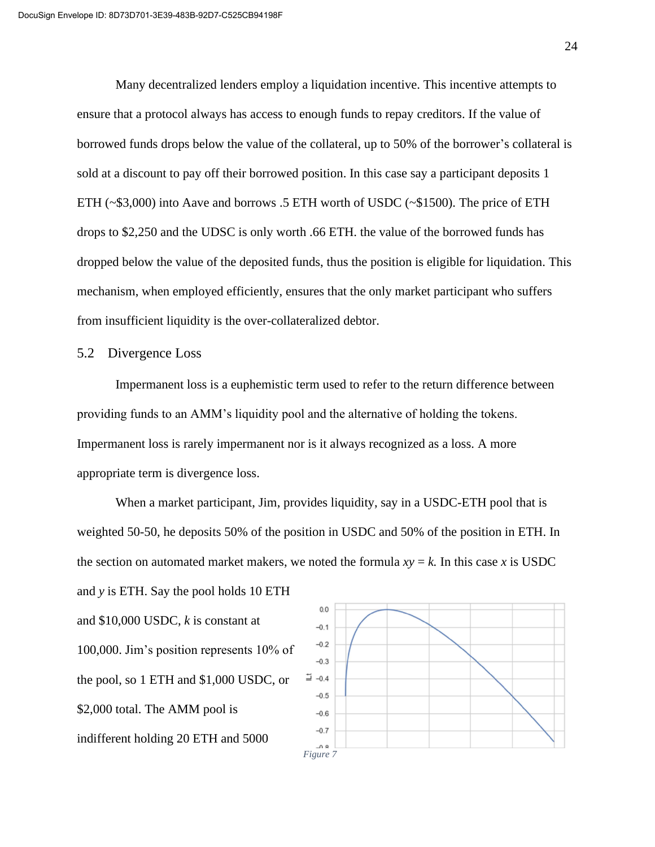Many decentralized lenders employ a liquidation incentive. This incentive attempts to ensure that a protocol always has access to enough funds to repay creditors. If the value of borrowed funds drops below the value of the collateral, up to 50% of the borrower's collateral is sold at a discount to pay off their borrowed position. In this case say a participant deposits 1 ETH (~\$3,000) into Aave and borrows .5 ETH worth of USDC (~\$1500). The price of ETH drops to \$2,250 and the UDSC is only worth .66 ETH. the value of the borrowed funds has dropped below the value of the deposited funds, thus the position is eligible for liquidation. This mechanism, when employed efficiently, ensures that the only market participant who suffers from insufficient liquidity is the over-collateralized debtor.

#### 5.2 Divergence Loss

Impermanent loss is a euphemistic term used to refer to the return difference between providing funds to an AMM's liquidity pool and the alternative of holding the tokens. Impermanent loss is rarely impermanent nor is it always recognized as a loss. A more appropriate term is divergence loss.

When a market participant, Jim, provides liquidity, say in a USDC-ETH pool that is weighted 50-50, he deposits 50% of the position in USDC and 50% of the position in ETH. In the section on automated market makers, we noted the formula  $xy = k$ . In this case *x* is USDC and *y* is ETH. Say the pool holds 10 ETH

and \$10,000 USDC, *k* is constant at 100,000. Jim's position represents 10% of the pool, so 1 ETH and \$1,000 USDC, or \$2,000 total. The AMM pool is indifferent holding 20 ETH and 5000

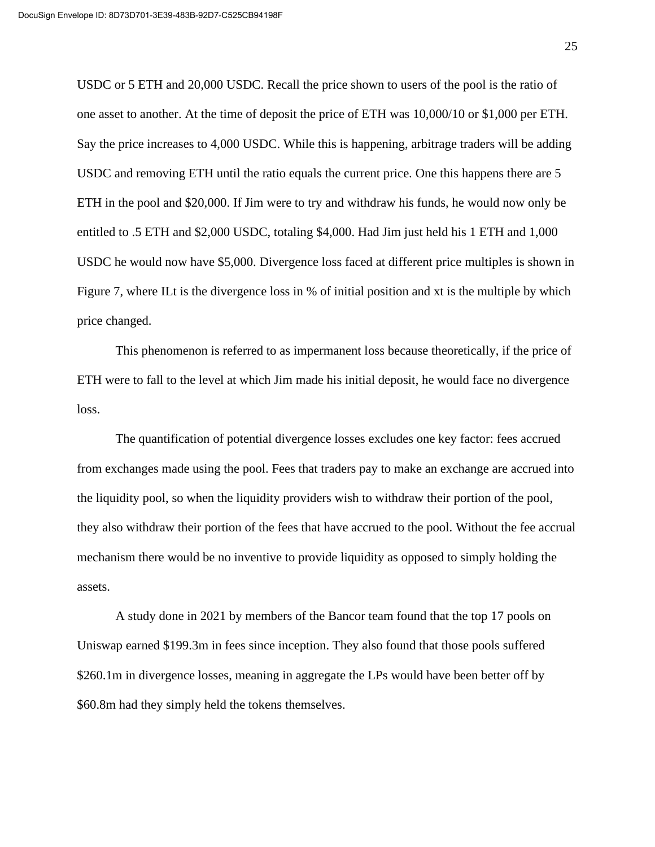USDC or 5 ETH and 20,000 USDC. Recall the price shown to users of the pool is the ratio of one asset to another. At the time of deposit the price of ETH was 10,000/10 or \$1,000 per ETH. Say the price increases to 4,000 USDC. While this is happening, arbitrage traders will be adding USDC and removing ETH until the ratio equals the current price. One this happens there are 5 ETH in the pool and \$20,000. If Jim were to try and withdraw his funds, he would now only be entitled to .5 ETH and \$2,000 USDC, totaling \$4,000. Had Jim just held his 1 ETH and 1,000 USDC he would now have \$5,000. Divergence loss faced at different price multiples is shown in Figure 7, where ILt is the divergence loss in % of initial position and xt is the multiple by which price changed.

This phenomenon is referred to as impermanent loss because theoretically, if the price of ETH were to fall to the level at which Jim made his initial deposit, he would face no divergence loss.

The quantification of potential divergence losses excludes one key factor: fees accrued from exchanges made using the pool. Fees that traders pay to make an exchange are accrued into the liquidity pool, so when the liquidity providers wish to withdraw their portion of the pool, they also withdraw their portion of the fees that have accrued to the pool. Without the fee accrual mechanism there would be no inventive to provide liquidity as opposed to simply holding the assets.

A study done in 2021 by members of the Bancor team found that the top 17 pools on Uniswap earned \$199.3m in fees since inception. They also found that those pools suffered \$260.1m in divergence losses, meaning in aggregate the LPs would have been better off by \$60.8m had they simply held the tokens themselves.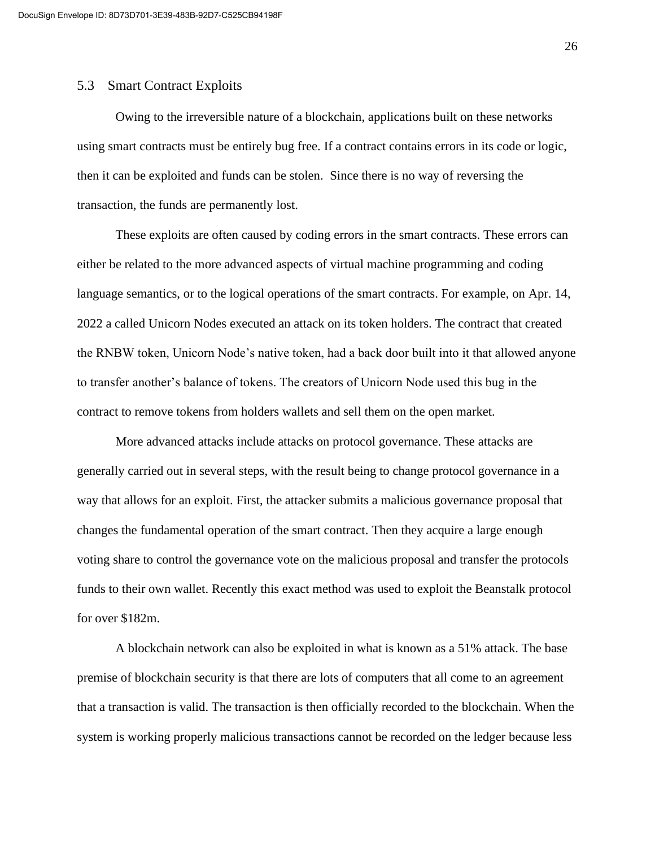#### 5.3 Smart Contract Exploits

Owing to the irreversible nature of a blockchain, applications built on these networks using smart contracts must be entirely bug free. If a contract contains errors in its code or logic, then it can be exploited and funds can be stolen. Since there is no way of reversing the transaction, the funds are permanently lost.

These exploits are often caused by coding errors in the smart contracts. These errors can either be related to the more advanced aspects of virtual machine programming and coding language semantics, or to the logical operations of the smart contracts. For example, on Apr. 14, 2022 a called Unicorn Nodes executed an attack on its token holders. The contract that created the RNBW token, Unicorn Node's native token, had a back door built into it that allowed anyone to transfer another's balance of tokens. The creators of Unicorn Node used this bug in the contract to remove tokens from holders wallets and sell them on the open market.

More advanced attacks include attacks on protocol governance. These attacks are generally carried out in several steps, with the result being to change protocol governance in a way that allows for an exploit. First, the attacker submits a malicious governance proposal that changes the fundamental operation of the smart contract. Then they acquire a large enough voting share to control the governance vote on the malicious proposal and transfer the protocols funds to their own wallet. Recently this exact method was used to exploit the Beanstalk protocol for over \$182m.

A blockchain network can also be exploited in what is known as a 51% attack. The base premise of blockchain security is that there are lots of computers that all come to an agreement that a transaction is valid. The transaction is then officially recorded to the blockchain. When the system is working properly malicious transactions cannot be recorded on the ledger because less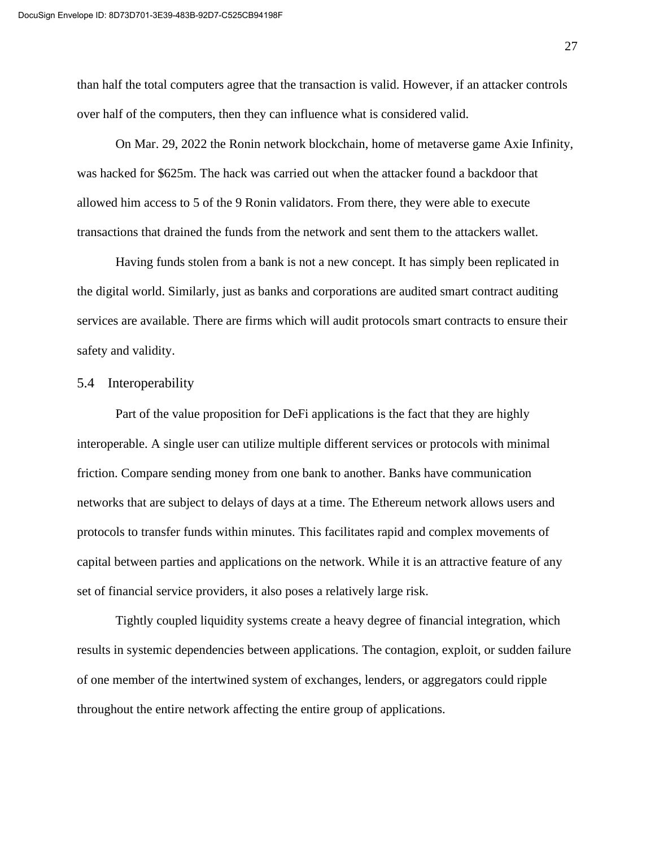than half the total computers agree that the transaction is valid. However, if an attacker controls over half of the computers, then they can influence what is considered valid.

On Mar. 29, 2022 the Ronin network blockchain, home of metaverse game Axie Infinity, was hacked for \$625m. The hack was carried out when the attacker found a backdoor that allowed him access to 5 of the 9 Ronin validators. From there, they were able to execute transactions that drained the funds from the network and sent them to the attackers wallet.

Having funds stolen from a bank is not a new concept. It has simply been replicated in the digital world. Similarly, just as banks and corporations are audited smart contract auditing services are available. There are firms which will audit protocols smart contracts to ensure their safety and validity.

#### 5.4 Interoperability

Part of the value proposition for DeFi applications is the fact that they are highly interoperable. A single user can utilize multiple different services or protocols with minimal friction. Compare sending money from one bank to another. Banks have communication networks that are subject to delays of days at a time. The Ethereum network allows users and protocols to transfer funds within minutes. This facilitates rapid and complex movements of capital between parties and applications on the network. While it is an attractive feature of any set of financial service providers, it also poses a relatively large risk.

Tightly coupled liquidity systems create a heavy degree of financial integration, which results in systemic dependencies between applications. The contagion, exploit, or sudden failure of one member of the intertwined system of exchanges, lenders, or aggregators could ripple throughout the entire network affecting the entire group of applications.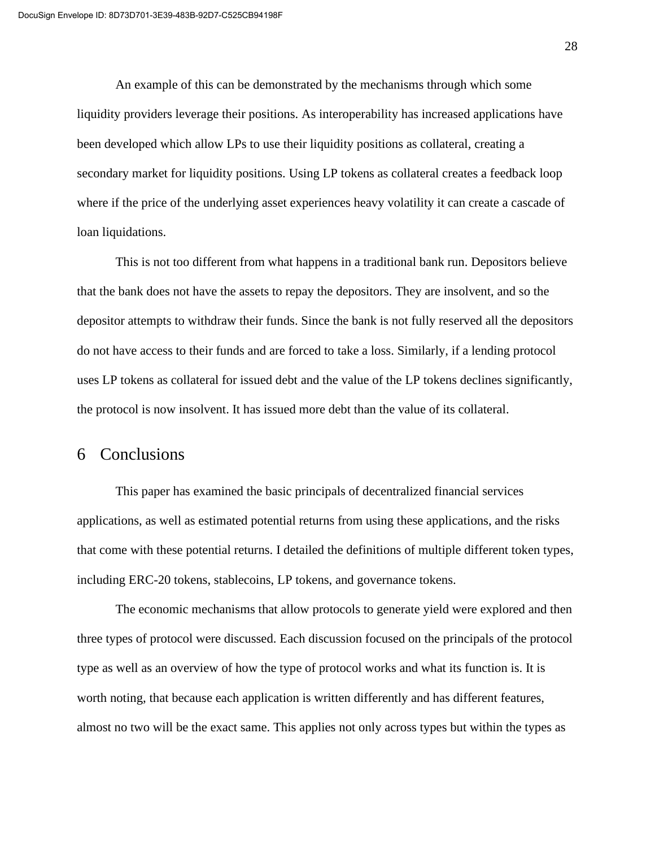An example of this can be demonstrated by the mechanisms through which some liquidity providers leverage their positions. As interoperability has increased applications have been developed which allow LPs to use their liquidity positions as collateral, creating a secondary market for liquidity positions. Using LP tokens as collateral creates a feedback loop where if the price of the underlying asset experiences heavy volatility it can create a cascade of loan liquidations.

This is not too different from what happens in a traditional bank run. Depositors believe that the bank does not have the assets to repay the depositors. They are insolvent, and so the depositor attempts to withdraw their funds. Since the bank is not fully reserved all the depositors do not have access to their funds and are forced to take a loss. Similarly, if a lending protocol uses LP tokens as collateral for issued debt and the value of the LP tokens declines significantly, the protocol is now insolvent. It has issued more debt than the value of its collateral.

## 6 Conclusions

This paper has examined the basic principals of decentralized financial services applications, as well as estimated potential returns from using these applications, and the risks that come with these potential returns. I detailed the definitions of multiple different token types, including ERC-20 tokens, stablecoins, LP tokens, and governance tokens.

The economic mechanisms that allow protocols to generate yield were explored and then three types of protocol were discussed. Each discussion focused on the principals of the protocol type as well as an overview of how the type of protocol works and what its function is. It is worth noting, that because each application is written differently and has different features, almost no two will be the exact same. This applies not only across types but within the types as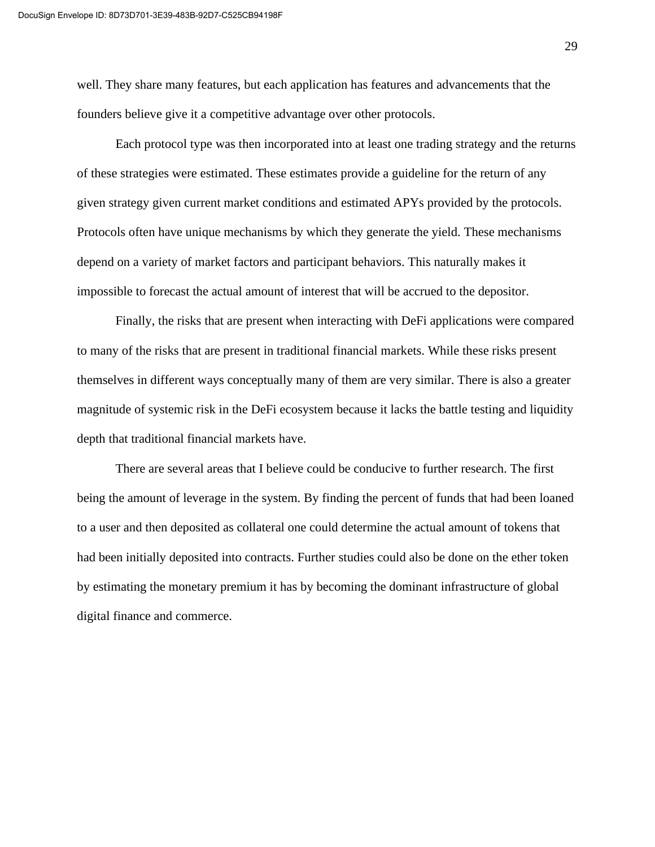well. They share many features, but each application has features and advancements that the founders believe give it a competitive advantage over other protocols.

Each protocol type was then incorporated into at least one trading strategy and the returns of these strategies were estimated. These estimates provide a guideline for the return of any given strategy given current market conditions and estimated APYs provided by the protocols. Protocols often have unique mechanisms by which they generate the yield. These mechanisms depend on a variety of market factors and participant behaviors. This naturally makes it impossible to forecast the actual amount of interest that will be accrued to the depositor.

Finally, the risks that are present when interacting with DeFi applications were compared to many of the risks that are present in traditional financial markets. While these risks present themselves in different ways conceptually many of them are very similar. There is also a greater magnitude of systemic risk in the DeFi ecosystem because it lacks the battle testing and liquidity depth that traditional financial markets have.

There are several areas that I believe could be conducive to further research. The first being the amount of leverage in the system. By finding the percent of funds that had been loaned to a user and then deposited as collateral one could determine the actual amount of tokens that had been initially deposited into contracts. Further studies could also be done on the ether token by estimating the monetary premium it has by becoming the dominant infrastructure of global digital finance and commerce.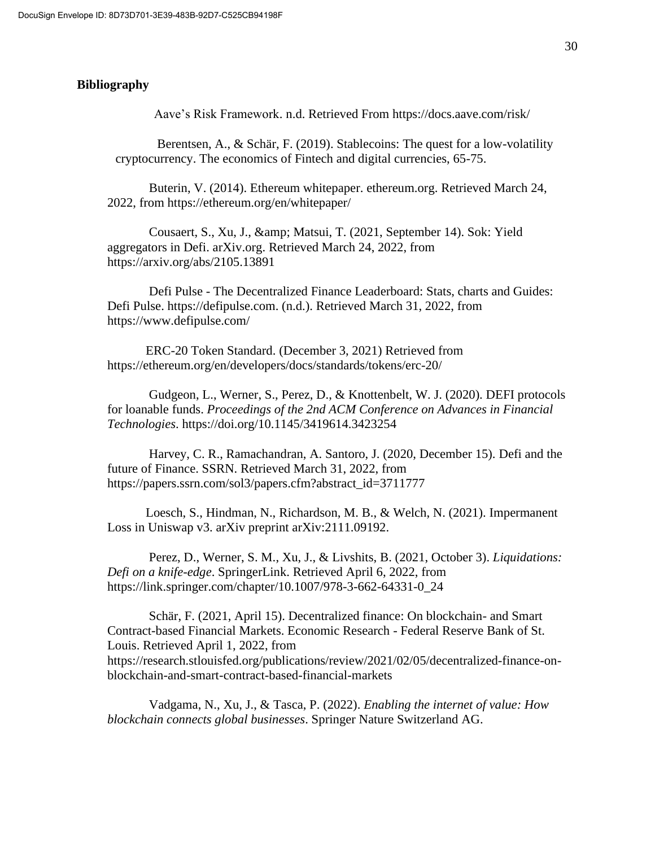#### **Bibliography**

Aave's Risk Framework. n.d. Retrieved From https://docs.aave.com/risk/

Berentsen, A., & Schär, F. (2019). Stablecoins: The quest for a low-volatility cryptocurrency. The economics of Fintech and digital currencies, 65-75.

Buterin, V. (2014). Ethereum whitepaper. ethereum.org. Retrieved March 24, 2022, from<https://ethereum.org/en/whitepaper/>

Cousaert, S., Xu, J., & amp; Matsui, T. (2021, September 14). Sok: Yield aggregators in Defi. arXiv.org. Retrieved March 24, 2022, from https://arxiv.org/abs/2105.13891

Defi Pulse - The Decentralized Finance Leaderboard: Stats, charts and Guides: Defi Pulse. https://defipulse.com. (n.d.). Retrieved March 31, 2022, from https://www.defipulse.com/

ERC-20 Token Standard. (December 3, 2021) Retrieved from https://ethereum.org/en/developers/docs/standards/tokens/erc-20/

Gudgeon, L., Werner, S., Perez, D., & Knottenbelt, W. J. (2020). DEFI protocols for loanable funds. *Proceedings of the 2nd ACM Conference on Advances in Financial Technologies*. https://doi.org/10.1145/3419614.3423254

Harvey, C. R., Ramachandran, A. Santoro, J. (2020, December 15). Defi and the future of Finance. SSRN. Retrieved March 31, 2022, from https://papers.ssrn.com/sol3/papers.cfm?abstract\_id=3711777

Loesch, S., Hindman, N., Richardson, M. B., & Welch, N. (2021). Impermanent Loss in Uniswap v3. arXiv preprint arXiv:2111.09192.

Perez, D., Werner, S. M., Xu, J., & Livshits, B. (2021, October 3). *Liquidations: Defi on a knife-edge*. SpringerLink. Retrieved April 6, 2022, from https://link.springer.com/chapter/10.1007/978-3-662-64331-0\_24

Schär, F. (2021, April 15). Decentralized finance: On blockchain- and Smart Contract-based Financial Markets. Economic Research - Federal Reserve Bank of St. Louis. Retrieved April 1, 2022, from https://research.stlouisfed.org/publications/review/2021/02/05/decentralized-finance-onblockchain-and-smart-contract-based-financial-markets

Vadgama, N., Xu, J., & Tasca, P. (2022). *Enabling the internet of value: How blockchain connects global businesses*. Springer Nature Switzerland AG.